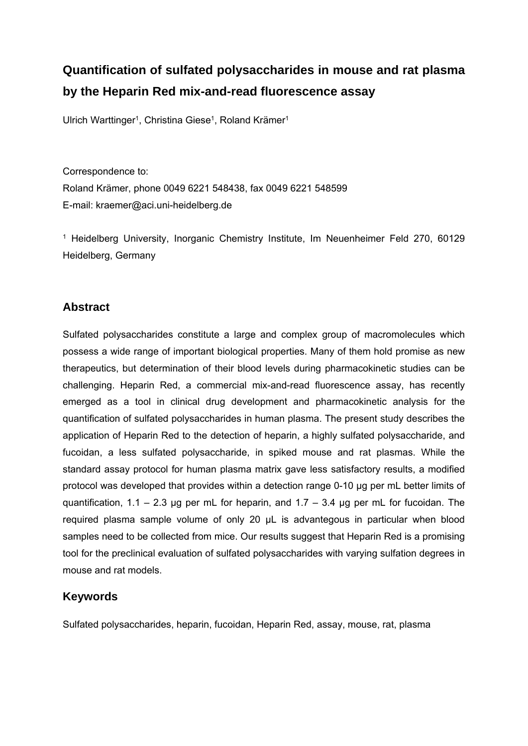# **Quantification of sulfated polysaccharides in mouse and rat plasma by the Heparin Red mix-and-read fluorescence assay**

Ulrich Warttinger<sup>1</sup>, Christina Giese<sup>1</sup>, Roland Krämer<sup>1</sup>

Correspondence to: Roland Krämer, phone 0049 6221 548438, fax 0049 6221 548599 E-mail: kraemer@aci.uni-heidelberg.de

1 Heidelberg University, Inorganic Chemistry Institute, Im Neuenheimer Feld 270, 60129 Heidelberg, Germany

## **Abstract**

Sulfated polysaccharides constitute a large and complex group of macromolecules which possess a wide range of important biological properties. Many of them hold promise as new therapeutics, but determination of their blood levels during pharmacokinetic studies can be challenging. Heparin Red, a commercial mix-and-read fluorescence assay, has recently emerged as a tool in clinical drug development and pharmacokinetic analysis for the quantification of sulfated polysaccharides in human plasma. The present study describes the application of Heparin Red to the detection of heparin, a highly sulfated polysaccharide, and fucoidan, a less sulfated polysaccharide, in spiked mouse and rat plasmas. While the standard assay protocol for human plasma matrix gave less satisfactory results, a modified protocol was developed that provides within a detection range 0-10 µg per mL better limits of quantification,  $1.1 - 2.3$  µg per mL for heparin, and  $1.7 - 3.4$  µg per mL for fucoidan. The required plasma sample volume of only 20 µL is advantegous in particular when blood samples need to be collected from mice. Our results suggest that Heparin Red is a promising tool for the preclinical evaluation of sulfated polysaccharides with varying sulfation degrees in mouse and rat models.

## **Keywords**

Sulfated polysaccharides, heparin, fucoidan, Heparin Red, assay, mouse, rat, plasma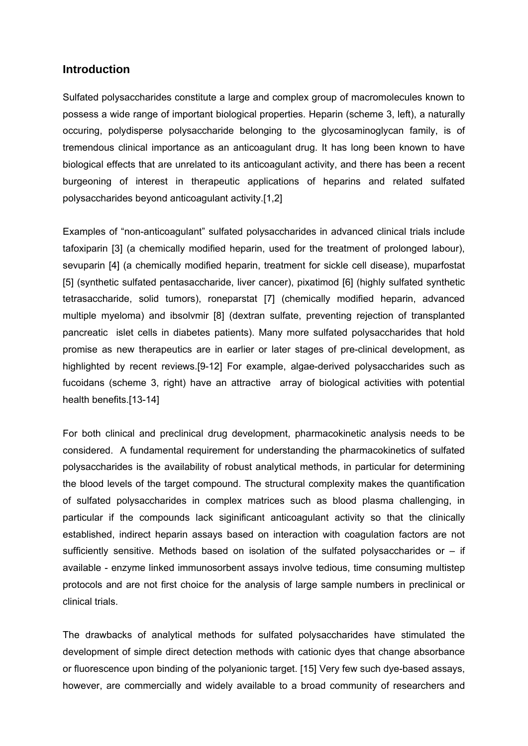#### **Introduction**

Sulfated polysaccharides constitute a large and complex group of macromolecules known to possess a wide range of important biological properties. Heparin (scheme 3, left), a naturally occuring, polydisperse polysaccharide belonging to the glycosaminoglycan family, is of tremendous clinical importance as an anticoagulant drug. It has long been known to have biological effects that are unrelated to its anticoagulant activity, and there has been a recent burgeoning of interest in therapeutic applications of heparins and related sulfated polysaccharides beyond anticoagulant activity.[1,2]

Examples of "non-anticoagulant" sulfated polysaccharides in advanced clinical trials include tafoxiparin [3] (a chemically modified heparin, used for the treatment of prolonged labour), sevuparin [4] (a chemically modified heparin, treatment for sickle cell disease), muparfostat [5] (synthetic sulfated pentasaccharide, liver cancer), pixatimod [6] (highly sulfated synthetic tetrasaccharide, solid tumors), roneparstat [7] (chemically modified heparin, advanced multiple myeloma) and ibsolvmir [8] (dextran sulfate, preventing rejection of transplanted pancreatic islet cells in diabetes patients). Many more sulfated polysaccharides that hold promise as new therapeutics are in earlier or later stages of pre-clinical development, as highlighted by recent reviews.[9-12] For example, algae-derived polysaccharides such as fucoidans (scheme 3, right) have an attractive array of biological activities with potential health benefits.[13-14]

For both clinical and preclinical drug development, pharmacokinetic analysis needs to be considered. A fundamental requirement for understanding the pharmacokinetics of sulfated polysaccharides is the availability of robust analytical methods, in particular for determining the blood levels of the target compound. The structural complexity makes the quantification of sulfated polysaccharides in complex matrices such as blood plasma challenging, in particular if the compounds lack siginificant anticoagulant activity so that the clinically established, indirect heparin assays based on interaction with coagulation factors are not sufficiently sensitive. Methods based on isolation of the sulfated polysaccharides or  $-$  if available - enzyme linked immunosorbent assays involve tedious, time consuming multistep protocols and are not first choice for the analysis of large sample numbers in preclinical or clinical trials.

The drawbacks of analytical methods for sulfated polysaccharides have stimulated the development of simple direct detection methods with cationic dyes that change absorbance or fluorescence upon binding of the polyanionic target. [15] Very few such dye-based assays, however, are commercially and widely available to a broad community of researchers and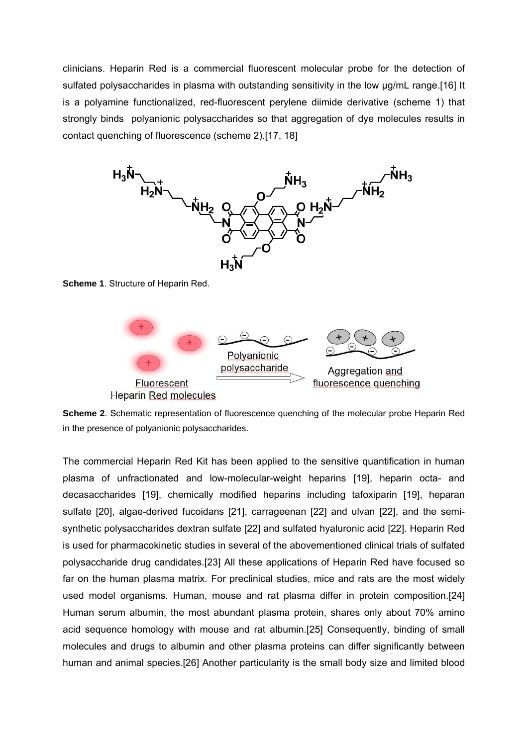clinicians. Heparin Red is a commercial fluorescent molecular probe for the detection of sulfated polysaccharides in plasma with outstanding sensitivity in the low  $\mu$ g/mL range.[16] It is a polyamine functionalized, red-fluorescent perylene diimide derivative (scheme 1) that strongly binds polyanionic polysaccharides so that aggregation of dye molecules results in contact quenching of fluorescence (scheme 2).[17, 18]



**Scheme 1**. Structure of Heparin Red.



**Scheme 2**. Schematic representation of fluorescence quenching of the molecular probe Heparin Red in the presence of polyanionic polysaccharides.

The commercial Heparin Red Kit has been applied to the sensitive quantification in human plasma of unfractionated and low-molecular-weight heparins [19], heparin octa- and decasaccharides [19], chemically modified heparins including tafoxiparin [19], heparan sulfate [20], algae-derived fucoidans [21], carrageenan [22] and ulvan [22], and the semisynthetic polysaccharides dextran sulfate [22] and sulfated hyaluronic acid [22]. Heparin Red is used for pharmacokinetic studies in several of the abovementioned clinical trials of sulfated polysaccharide drug candidates.[23] All these applications of Heparin Red have focused so far on the human plasma matrix. For preclinical studies, mice and rats are the most widely used model organisms. Human, mouse and rat plasma differ in protein composition.[24] Human serum albumin, the most abundant plasma protein, shares only about 70% amino acid sequence homology with mouse and rat albumin.[25] Consequently, binding of small molecules and drugs to albumin and other plasma proteins can differ significantly between human and animal species.[26] Another particularity is the small body size and limited blood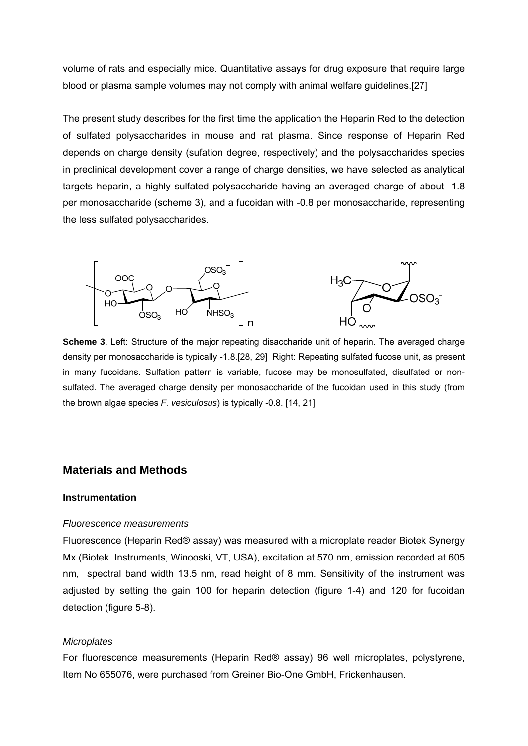volume of rats and especially mice. Quantitative assays for drug exposure that require large blood or plasma sample volumes may not comply with animal welfare guidelines.[27]

The present study describes for the first time the application the Heparin Red to the detection of sulfated polysaccharides in mouse and rat plasma. Since response of Heparin Red depends on charge density (sufation degree, respectively) and the polysaccharides species in preclinical development cover a range of charge densities, we have selected as analytical targets heparin, a highly sulfated polysaccharide having an averaged charge of about -1.8 per monosaccharide (scheme 3), and a fucoidan with -0.8 per monosaccharide, representing the less sulfated polysaccharides.



**Scheme 3**. Left: Structure of the major repeating disaccharide unit of heparin. The averaged charge density per monosaccharide is typically -1.8.[28, 29] Right: Repeating sulfated fucose unit, as present in many fucoidans. Sulfation pattern is variable, fucose may be monosulfated, disulfated or nonsulfated. The averaged charge density per monosaccharide of the fucoidan used in this study (from the brown algae species *F. vesiculosus*) is typically -0.8. [14, 21]

#### **Materials and Methods**

#### **Instrumentation**

#### *Fluorescence measurements*

Fluorescence (Heparin Red® assay) was measured with a microplate reader Biotek Synergy Mx (Biotek Instruments, Winooski, VT, USA), excitation at 570 nm, emission recorded at 605 nm, spectral band width 13.5 nm, read height of 8 mm. Sensitivity of the instrument was adjusted by setting the gain 100 for heparin detection (figure 1-4) and 120 for fucoidan detection (figure 5-8).

#### *Microplates*

For fluorescence measurements (Heparin Red® assay) 96 well microplates, polystyrene, Item No 655076, were purchased from Greiner Bio-One GmbH, Frickenhausen.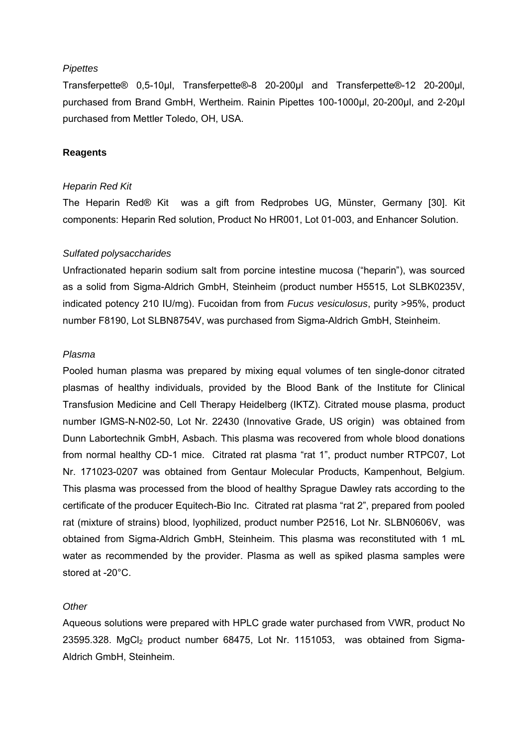#### *Pipettes*

Transferpette® 0,5-10µl, Transferpette®-8 20-200µl and Transferpette®-12 20-200µl, purchased from Brand GmbH, Wertheim. Rainin Pipettes 100-1000µl, 20-200µl, and 2-20µl purchased from Mettler Toledo, OH, USA.

#### **Reagents**

#### *Heparin Red Kit*

The Heparin Red® Kit was a gift from Redprobes UG, Münster, Germany [30]. Kit components: Heparin Red solution, Product No HR001, Lot 01-003, and Enhancer Solution.

#### *Sulfated polysaccharides*

Unfractionated heparin sodium salt from porcine intestine mucosa ("heparin"), was sourced as a solid from Sigma-Aldrich GmbH, Steinheim (product number H5515, Lot SLBK0235V, indicated potency 210 IU/mg). Fucoidan from from *Fucus vesiculosus*, purity >95%, product number F8190, Lot SLBN8754V, was purchased from Sigma-Aldrich GmbH, Steinheim.

#### *Plasma*

Pooled human plasma was prepared by mixing equal volumes of ten single-donor citrated plasmas of healthy individuals, provided by the Blood Bank of the Institute for Clinical Transfusion Medicine and Cell Therapy Heidelberg (IKTZ). Citrated mouse plasma, product number IGMS-N-N02-50, Lot Nr. 22430 (Innovative Grade, US origin) was obtained from Dunn Labortechnik GmbH, Asbach. This plasma was recovered from whole blood donations from normal healthy CD-1 mice. Citrated rat plasma "rat 1", product number RTPC07, Lot Nr. 171023-0207 was obtained from Gentaur Molecular Products, Kampenhout, Belgium. This plasma was processed from the blood of healthy Sprague Dawley rats according to the certificate of the producer Equitech-Bio Inc. Citrated rat plasma "rat 2", prepared from pooled rat (mixture of strains) blood, lyophilized, product number P2516, Lot Nr. SLBN0606V, was obtained from Sigma-Aldrich GmbH, Steinheim. This plasma was reconstituted with 1 mL water as recommended by the provider. Plasma as well as spiked plasma samples were stored at -20°C.

#### *Other*

Aqueous solutions were prepared with HPLC grade water purchased from VWR, product No 23595.328. MgCl<sub>2</sub> product number 68475, Lot Nr. 1151053, was obtained from Sigma-Aldrich GmbH, Steinheim.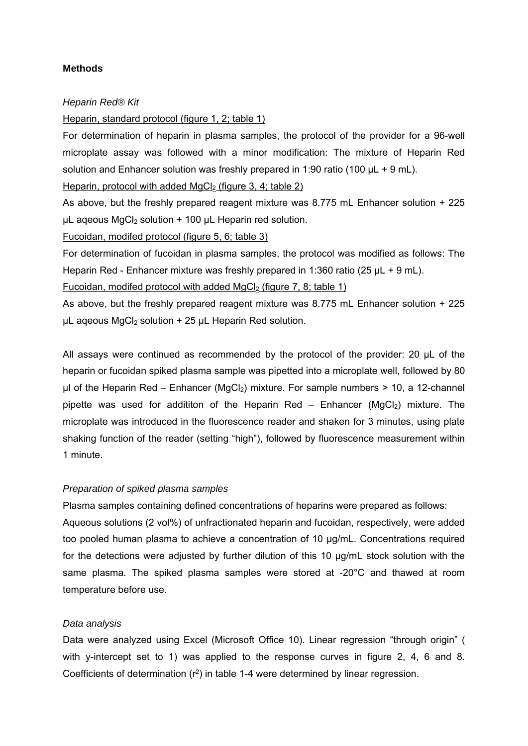#### **Methods**

#### *Heparin Red® Kit*

#### Heparin, standard protocol (figure 1, 2; table 1)

For determination of heparin in plasma samples, the protocol of the provider for a 96-well microplate assay was followed with a minor modification: The mixture of Heparin Red solution and Enhancer solution was freshly prepared in 1:90 ratio (100  $\mu$ L + 9 mL).

#### Heparin, protocol with added MgCl<sub>2</sub> (figure 3, 4; table 2)

As above, but the freshly prepared reagent mixture was 8.775 mL Enhancer solution + 225  $\mu$ L ageous MgCl<sub>2</sub> solution + 100  $\mu$ L Heparin red solution.

#### Fucoidan, modifed protocol (figure 5, 6; table 3)

For determination of fucoidan in plasma samples, the protocol was modified as follows: The Heparin Red - Enhancer mixture was freshly prepared in 1:360 ratio (25 µL + 9 mL).

Fucoidan, modifed protocol with added  $MgCl<sub>2</sub>$  (figure 7, 8; table 1)

As above, but the freshly prepared reagent mixture was 8.775 mL Enhancer solution + 225  $\mu$ L ageous MgCl<sub>2</sub> solution + 25  $\mu$ L Heparin Red solution.

All assays were continued as recommended by the protocol of the provider: 20 µL of the heparin or fucoidan spiked plasma sample was pipetted into a microplate well, followed by 80  $\mu$ l of the Heparin Red – Enhancer (MgCl<sub>2</sub>) mixture. For sample numbers > 10, a 12-channel pipette was used for addititon of the Heparin Red – Enhancer ( $MgCl<sub>2</sub>$ ) mixture. The microplate was introduced in the fluorescence reader and shaken for 3 minutes, using plate shaking function of the reader (setting "high"), followed by fluorescence measurement within 1 minute.

### *Preparation of spiked plasma samples*

Plasma samples containing defined concentrations of heparins were prepared as follows:

Aqueous solutions (2 vol%) of unfractionated heparin and fucoidan, respectively, were added too pooled human plasma to achieve a concentration of 10 µg/mL. Concentrations required for the detections were adjusted by further dilution of this 10 µg/mL stock solution with the same plasma. The spiked plasma samples were stored at -20°C and thawed at room temperature before use.

#### *Data analysis*

Data were analyzed using Excel (Microsoft Office 10). Linear regression "through origin" ( with y-intercept set to 1) was applied to the response curves in figure 2, 4, 6 and 8. Coefficients of determination  $(r^2)$  in table 1-4 were determined by linear regression.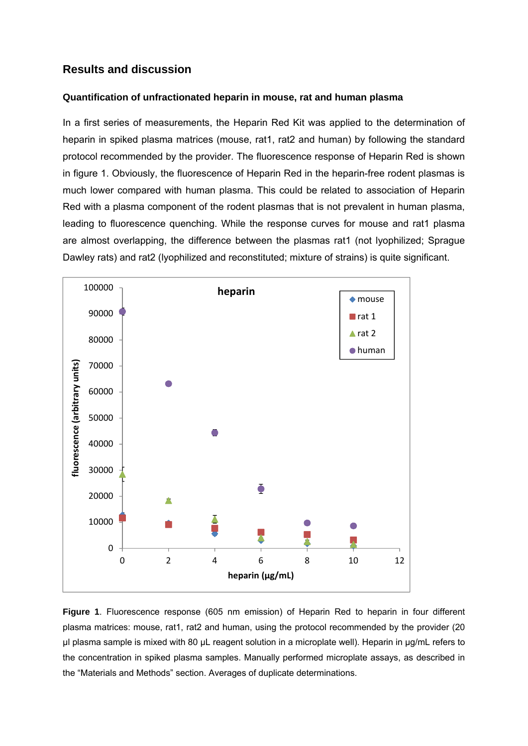## **Results and discussion**

### **Quantification of unfractionated heparin in mouse, rat and human plasma**

In a first series of measurements, the Heparin Red Kit was applied to the determination of heparin in spiked plasma matrices (mouse, rat1, rat2 and human) by following the standard protocol recommended by the provider. The fluorescence response of Heparin Red is shown in figure 1. Obviously, the fluorescence of Heparin Red in the heparin-free rodent plasmas is much lower compared with human plasma. This could be related to association of Heparin Red with a plasma component of the rodent plasmas that is not prevalent in human plasma, leading to fluorescence quenching. While the response curves for mouse and rat1 plasma are almost overlapping, the difference between the plasmas rat1 (not lyophilized; Sprague Dawley rats) and rat2 (lyophilized and reconstituted; mixture of strains) is quite significant.



**Figure 1**. Fluorescence response (605 nm emission) of Heparin Red to heparin in four different plasma matrices: mouse, rat1, rat2 and human, using the protocol recommended by the provider (20 µl plasma sample is mixed with 80 µL reagent solution in a microplate well). Heparin in µg/mL refers to the concentration in spiked plasma samples. Manually performed microplate assays, as described in the "Materials and Methods" section. Averages of duplicate determinations.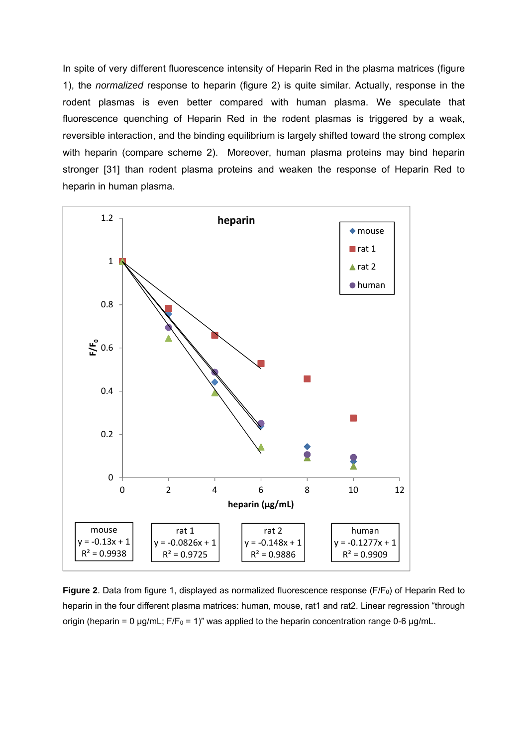In spite of very different fluorescence intensity of Heparin Red in the plasma matrices (figure 1), the *normalized* response to heparin (figure 2) is quite similar. Actually, response in the rodent plasmas is even better compared with human plasma. We speculate that fluorescence quenching of Heparin Red in the rodent plasmas is triggered by a weak, reversible interaction, and the binding equilibrium is largely shifted toward the strong complex with heparin (compare scheme 2). Moreover, human plasma proteins may bind heparin stronger [31] than rodent plasma proteins and weaken the response of Heparin Red to heparin in human plasma.



**Figure 2**. Data from figure 1, displayed as normalized fluorescence response (F/F<sub>0</sub>) of Heparin Red to heparin in the four different plasma matrices: human, mouse, rat1 and rat2. Linear regression "through origin (heparin = 0  $\mu$ g/mL; F/F<sub>0</sub> = 1)" was applied to the heparin concentration range 0-6  $\mu$ g/mL.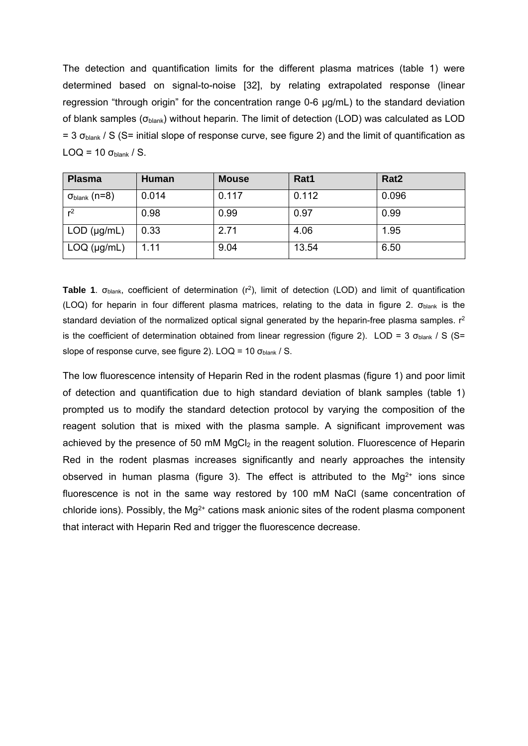The detection and quantification limits for the different plasma matrices (table 1) were determined based on signal-to-noise [32], by relating extrapolated response (linear regression "through origin" for the concentration range 0-6 µg/mL) to the standard deviation of blank samples ( $\sigma_{\text{blank}}$ ) without heparin. The limit of detection (LOD) was calculated as LOD  $= 3$   $\sigma_{\text{blank}}$  / S (S= initial slope of response curve, see figure 2) and the limit of quantification as LOQ = 10  $\sigma_{\text{blank}}$  / S.

| <b>Plasma</b>              | <b>Human</b> | <b>Mouse</b> | Rat1  | Rat <sub>2</sub> |
|----------------------------|--------------|--------------|-------|------------------|
| $\sigma_{\sf blank}$ (n=8) | 0.014        | 0.117        | 0.112 | 0.096            |
| r <sup>2</sup>             | 0.98         | 0.99         | 0.97  | 0.99             |
| $LOD$ ( $\mu$ g/mL)        | 0.33         | 2.71         | 4.06  | 1.95             |
| $LOQ$ ( $\mu$ g/mL)        | 1.11         | 9.04         | 13.54 | 6.50             |

**Table 1**. σ<sub>blank</sub>, coefficient of determination (r<sup>2</sup>), limit of detection (LOD) and limit of quantification (LOQ) for heparin in four different plasma matrices, relating to the data in figure 2. σ<sub>blank</sub> is the standard deviation of the normalized optical signal generated by the heparin-free plasma samples.  $r^2$ is the coefficient of determination obtained from linear regression (figure 2). LOD = 3  $\sigma_{\text{blank}}$  / S (S= slope of response curve, see figure 2). LOQ = 10  $\sigma_{\text{blank}}$  / S.

The low fluorescence intensity of Heparin Red in the rodent plasmas (figure 1) and poor limit of detection and quantification due to high standard deviation of blank samples (table 1) prompted us to modify the standard detection protocol by varying the composition of the reagent solution that is mixed with the plasma sample. A significant improvement was achieved by the presence of 50 mM MgCl<sub>2</sub> in the reagent solution. Fluorescence of Heparin Red in the rodent plasmas increases significantly and nearly approaches the intensity observed in human plasma (figure 3). The effect is attributed to the  $Mg^{2+}$  ions since fluorescence is not in the same way restored by 100 mM NaCl (same concentration of chloride ions). Possibly, the  $Ma^{2+}$  cations mask anionic sites of the rodent plasma component that interact with Heparin Red and trigger the fluorescence decrease.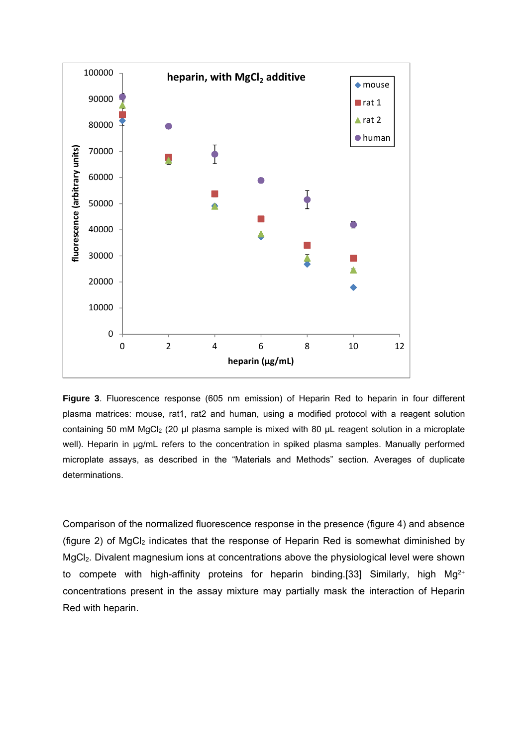

**Figure 3**. Fluorescence response (605 nm emission) of Heparin Red to heparin in four different plasma matrices: mouse, rat1, rat2 and human, using a modified protocol with a reagent solution containing 50 mM MgCl<sub>2</sub> (20 µl plasma sample is mixed with 80 µL reagent solution in a microplate well). Heparin in µg/mL refers to the concentration in spiked plasma samples. Manually performed microplate assays, as described in the "Materials and Methods" section. Averages of duplicate determinations.

Comparison of the normalized fluorescence response in the presence (figure 4) and absence (figure 2) of  $MgCl<sub>2</sub>$  indicates that the response of Heparin Red is somewhat diminished by MgCl<sub>2</sub>. Divalent magnesium ions at concentrations above the physiological level were shown to compete with high-affinity proteins for heparin binding.[33] Similarly, high Mg<sup>2+</sup> concentrations present in the assay mixture may partially mask the interaction of Heparin Red with heparin.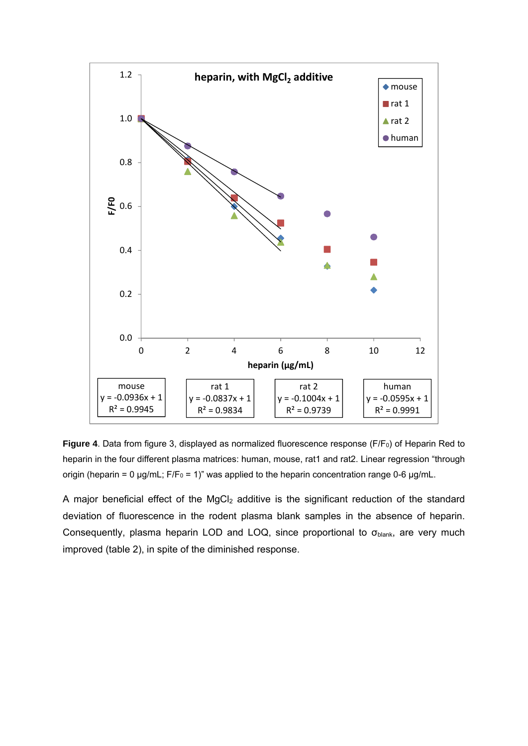

**Figure 4**. Data from figure 3, displayed as normalized fluorescence response (F/F<sub>0</sub>) of Heparin Red to heparin in the four different plasma matrices: human, mouse, rat1 and rat2. Linear regression "through origin (heparin = 0  $\mu$ g/mL; F/F<sub>0</sub> = 1)" was applied to the heparin concentration range 0-6  $\mu$ g/mL.

A major beneficial effect of the MgCl<sub>2</sub> additive is the significant reduction of the standard deviation of fluorescence in the rodent plasma blank samples in the absence of heparin. Consequently, plasma heparin LOD and LOQ, since proportional to  $\sigma_{\text{blank}}$ , are very much improved (table 2), in spite of the diminished response.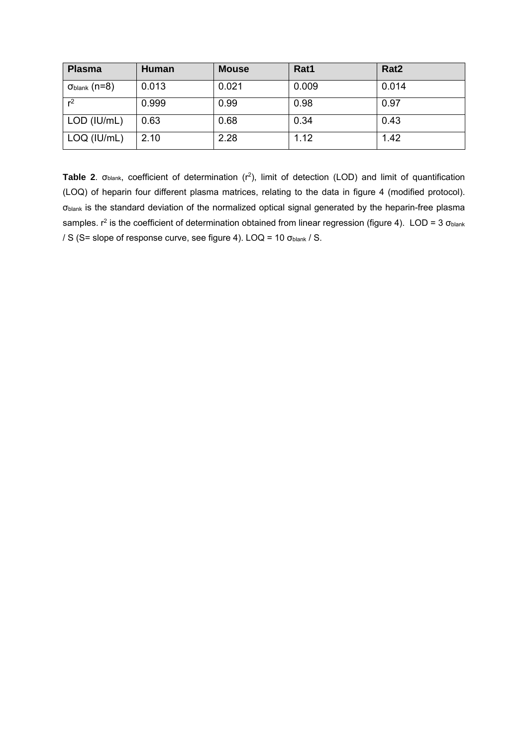| <b>Plasma</b>              | <b>Human</b> | <b>Mouse</b> | Rat1  | Rat <sub>2</sub> |
|----------------------------|--------------|--------------|-------|------------------|
| $\sigma_{\sf blank}$ (n=8) | 0.013        | 0.021        | 0.009 | 0.014            |
| r <sup>2</sup>             | 0.999        | 0.99         | 0.98  | 0.97             |
| LOD (IU/mL)                | 0.63         | 0.68         | 0.34  | 0.43             |
| LOQ (IU/mL)                | 2.10         | 2.28         | 1.12  | 1.42             |

Table 2. σ<sub>blank</sub>, coefficient of determination (r<sup>2</sup>), limit of detection (LOD) and limit of quantification (LOQ) of heparin four different plasma matrices, relating to the data in figure 4 (modified protocol). σblank is the standard deviation of the normalized optical signal generated by the heparin-free plasma samples.  $r^2$  is the coefficient of determination obtained from linear regression (figure 4). LOD = 3  $\sigma_{\text{blank}}$ / S (S= slope of response curve, see figure 4). LOQ = 10 σblank / S.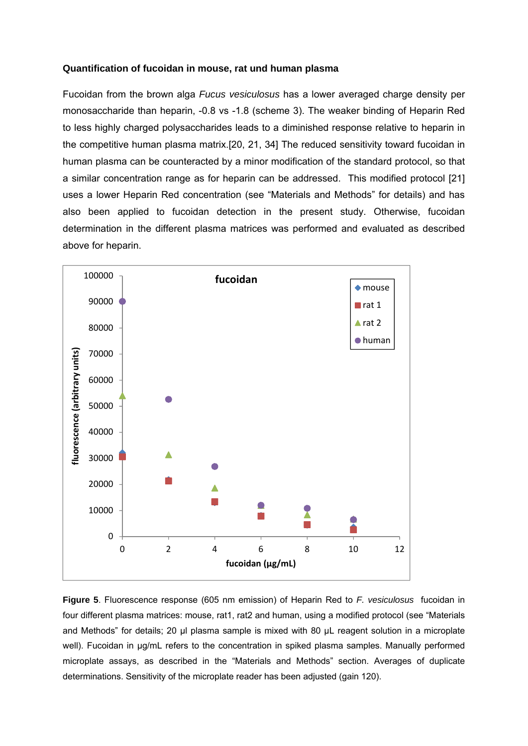#### **Quantification of fucoidan in mouse, rat und human plasma**

Fucoidan from the brown alga *Fucus vesiculosus* has a lower averaged charge density per monosaccharide than heparin, -0.8 vs -1.8 (scheme 3). The weaker binding of Heparin Red to less highly charged polysaccharides leads to a diminished response relative to heparin in the competitive human plasma matrix.[20, 21, 34] The reduced sensitivity toward fucoidan in human plasma can be counteracted by a minor modification of the standard protocol, so that a similar concentration range as for heparin can be addressed. This modified protocol [21] uses a lower Heparin Red concentration (see "Materials and Methods" for details) and has also been applied to fucoidan detection in the present study. Otherwise, fucoidan determination in the different plasma matrices was performed and evaluated as described above for heparin.



**Figure 5**. Fluorescence response (605 nm emission) of Heparin Red to *F. vesiculosus* fucoidan in four different plasma matrices: mouse, rat1, rat2 and human, using a modified protocol (see "Materials and Methods" for details; 20 µl plasma sample is mixed with 80 µL reagent solution in a microplate well). Fucoidan in µg/mL refers to the concentration in spiked plasma samples. Manually performed microplate assays, as described in the "Materials and Methods" section. Averages of duplicate determinations. Sensitivity of the microplate reader has been adjusted (gain 120).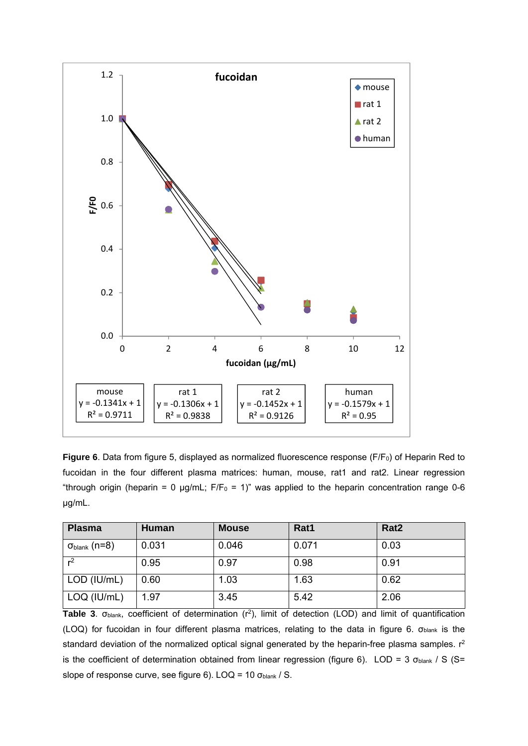

**Figure 6**. Data from figure 5, displayed as normalized fluorescence response (F/F<sub>0</sub>) of Heparin Red to fucoidan in the four different plasma matrices: human, mouse, rat1 and rat2. Linear regression "through origin (heparin = 0 µg/mL;  $F/F_0 = 1$ )" was applied to the heparin concentration range 0-6 µg/mL.

| <b>Plasma</b>              | <b>Human</b> | <b>Mouse</b> | Rat1  | Rat <sub>2</sub> |
|----------------------------|--------------|--------------|-------|------------------|
| $\sigma_{\sf blank}$ (n=8) | 0.031        | 0.046        | 0.071 | 0.03             |
| r <sup>2</sup>             | 0.95         | 0.97         | 0.98  | 0.91             |
| LOD (IU/mL)                | 0.60         | 1.03         | 1.63  | 0.62             |
| LOQ (IU/mL)                | 1.97         | 3.45         | 5.42  | 2.06             |

Table 3. σ<sub>blank</sub>, coefficient of determination (r<sup>2</sup>), limit of detection (LOD) and limit of quantification (LOQ) for fucoidan in four different plasma matrices, relating to the data in figure 6. σ<sub>blank</sub> is the standard deviation of the normalized optical signal generated by the heparin-free plasma samples. r<sup>2</sup> is the coefficient of determination obtained from linear regression (figure 6). LOD = 3  $\sigma_{\text{blank}}$  / S (S= slope of response curve, see figure 6). LOQ = 10  $\sigma_{\text{blank}}$  / S.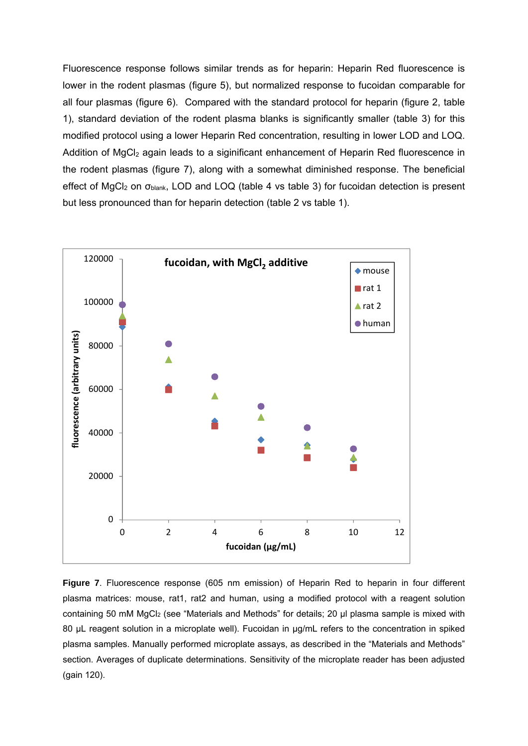Fluorescence response follows similar trends as for heparin: Heparin Red fluorescence is lower in the rodent plasmas (figure 5), but normalized response to fucoidan comparable for all four plasmas (figure 6). Compared with the standard protocol for heparin (figure 2, table 1), standard deviation of the rodent plasma blanks is significantly smaller (table 3) for this modified protocol using a lower Heparin Red concentration, resulting in lower LOD and LOQ. Addition of MgCl<sub>2</sub> again leads to a siginificant enhancement of Heparin Red fluorescence in the rodent plasmas (figure 7), along with a somewhat diminished response. The beneficial effect of MgCl<sub>2</sub> on  $\sigma_{\text{blank}}$ , LOD and LOQ (table 4 vs table 3) for fucoidan detection is present but less pronounced than for heparin detection (table 2 vs table 1).



**Figure 7**. Fluorescence response (605 nm emission) of Heparin Red to heparin in four different plasma matrices: mouse, rat1, rat2 and human, using a modified protocol with a reagent solution containing 50 mM MgCl<sub>2</sub> (see "Materials and Methods" for details; 20 µl plasma sample is mixed with 80 uL reagent solution in a microplate well). Fucoidan in ug/mL refers to the concentration in spiked plasma samples. Manually performed microplate assays, as described in the "Materials and Methods" section. Averages of duplicate determinations. Sensitivity of the microplate reader has been adjusted (gain 120).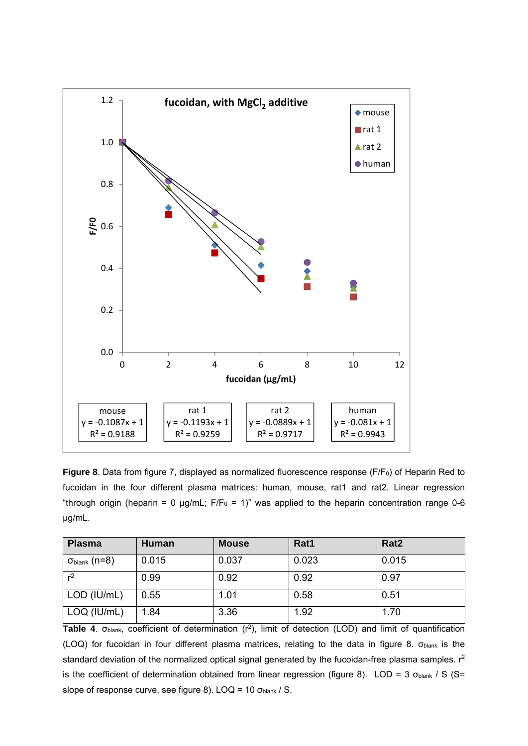

Figure 8. Data from figure 7, displayed as normalized fluorescence response (F/F<sub>0</sub>) of Heparin Red to fucoidan in the four different plasma matrices: human, mouse, rat1 and rat2. Linear regression "through origin (heparin = 0 µg/mL;  $F/F_0 = 1$ )" was applied to the heparin concentration range 0-6 µg/mL.

| <b>Plasma</b>              | <b>Human</b> | <b>Mouse</b> | Rat1  | Rat <sub>2</sub> |
|----------------------------|--------------|--------------|-------|------------------|
| $\sigma_{\sf blank}$ (n=8) | 0.015        | 0.037        | 0.023 | 0.015            |
| r <sup>2</sup>             | 0.99         | 0.92         | 0.92  | 0.97             |
| LOD (IU/mL)                | 0.55         | 1.01         | 0.58  | 0.51             |
| LOQ (IU/mL)                | 1.84         | 3.36         | 1.92  | 1.70             |

**Table 4**. σblank, coefficient of determination (r2), limit of detection (LOD) and limit of quantification (LOQ) for fucoidan in four different plasma matrices, relating to the data in figure 8. σblank is the standard deviation of the normalized optical signal generated by the fucoidan-free plasma samples. r<sup>2</sup> is the coefficient of determination obtained from linear regression (figure 8). LOD = 3  $\sigma_{\text{blank}}$  / S (S= slope of response curve, see figure 8). LOQ = 10 σblank / S.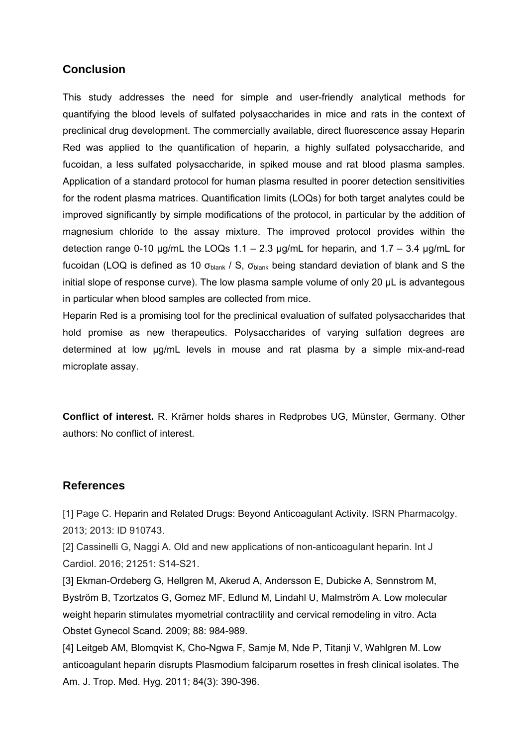## **Conclusion**

This study addresses the need for simple and user-friendly analytical methods for quantifying the blood levels of sulfated polysaccharides in mice and rats in the context of preclinical drug development. The commercially available, direct fluorescence assay Heparin Red was applied to the quantification of heparin, a highly sulfated polysaccharide, and fucoidan, a less sulfated polysaccharide, in spiked mouse and rat blood plasma samples. Application of a standard protocol for human plasma resulted in poorer detection sensitivities for the rodent plasma matrices. Quantification limits (LOQs) for both target analytes could be improved significantly by simple modifications of the protocol, in particular by the addition of magnesium chloride to the assay mixture. The improved protocol provides within the detection range 0-10  $\mu$ g/mL the LOQs 1.1 – 2.3  $\mu$ g/mL for heparin, and 1.7 – 3.4  $\mu$ g/mL for fucoidan (LOQ is defined as 10  $\sigma_{\text{blank}}$  / S,  $\sigma_{\text{blank}}$  being standard deviation of blank and S the initial slope of response curve). The low plasma sample volume of only 20 µL is advantegous in particular when blood samples are collected from mice.

Heparin Red is a promising tool for the preclinical evaluation of sulfated polysaccharides that hold promise as new therapeutics. Polysaccharides of varying sulfation degrees are determined at low µg/mL levels in mouse and rat plasma by a simple mix-and-read microplate assay.

**Conflict of interest.** R. Krämer holds shares in Redprobes UG, Münster, Germany. Other authors: No conflict of interest.

#### **References**

[1] Page C. Heparin and Related Drugs: Beyond Anticoagulant Activity. ISRN Pharmacolgy. 2013; 2013: ID 910743.

[2] Cassinelli G, Naggi A. Old and new applications of non-anticoagulant heparin. Int J Cardiol. 2016; 21251: S14-S21.

[3] Ekman-Ordeberg G, Hellgren M, Akerud A, Andersson E, Dubicke A, Sennstrom M, Byström B, Tzortzatos G, Gomez MF, Edlund M, Lindahl U, Malmström A. Low molecular weight heparin stimulates myometrial contractility and cervical remodeling in vitro. Acta Obstet Gynecol Scand. 2009; 88: 984-989.

[4] Leitgeb AM, Blomqvist K, Cho-Ngwa F, Samje M, Nde P, Titanji V, Wahlgren M. Low anticoagulant heparin disrupts Plasmodium falciparum rosettes in fresh clinical isolates. The Am. J. Trop. Med. Hyg. 2011; 84(3): 390-396.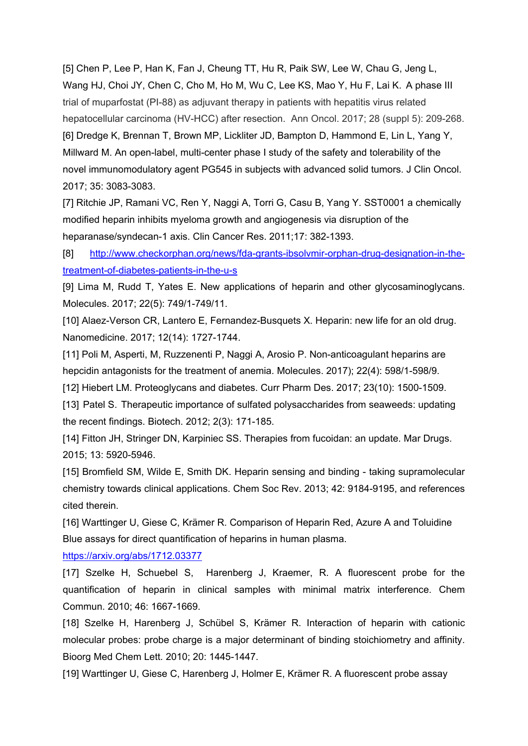[5] Chen P, Lee P, Han K, Fan J, Cheung TT, Hu R, Paik SW, Lee W, Chau G, Jeng L, Wang HJ, Choi JY, Chen C, Cho M, Ho M, Wu C, Lee KS, Mao Y, Hu F, Lai K. A phase III trial of muparfostat (PI-88) as adjuvant therapy in patients with hepatitis virus related hepatocellular carcinoma (HV-HCC) after resection. Ann Oncol. 2017; 28 (suppl 5): 209-268. [6] Dredge K, Brennan T, Brown MP, Lickliter JD, Bampton D, Hammond E, Lin L, Yang Y, Millward M. An open-label, multi-center phase I study of the safety and tolerability of the novel immunomodulatory agent PG545 in subjects with advanced solid tumors. J Clin Oncol. 2017; 35: 3083-3083.

[7] Ritchie JP, Ramani VC, Ren Y, Naggi A, Torri G, Casu B, Yang Y. SST0001 a chemically modified heparin inhibits myeloma growth and angiogenesis via disruption of the heparanase/syndecan-1 axis. Clin Cancer Res. 2011;17: 382-1393.

[8] http://www.checkorphan.org/news/fda-grants-ibsolvmir-orphan-drug-designation-in-thetreatment-of-diabetes-patients-in-the-u-s

[9] Lima M, Rudd T, Yates E. New applications of heparin and other glycosaminoglycans. Molecules. 2017; 22(5): 749/1-749/11.

[10] Alaez-Verson CR, Lantero E, Fernandez-Busquets X. Heparin: new life for an old drug. Nanomedicine. 2017; 12(14): 1727-1744.

[11] Poli M, Asperti, M, Ruzzenenti P, Naggi A, Arosio P. Non-anticoagulant heparins are hepcidin antagonists for the treatment of anemia. Molecules. 2017); 22(4): 598/1-598/9.

[12] Hiebert LM. Proteoglycans and diabetes. Curr Pharm Des. 2017; 23(10): 1500-1509.

[13] Patel S. Therapeutic importance of sulfated polysaccharides from seaweeds: updating the recent findings. Biotech. 2012; 2(3): 171-185.

[14] Fitton JH, Stringer DN, Karpiniec SS. Therapies from fucoidan: an update. Mar Drugs. 2015; 13: 5920-5946.

[15] Bromfield SM, Wilde E, Smith DK. Heparin sensing and binding - taking supramolecular chemistry towards clinical applications. Chem Soc Rev. 2013; 42: 9184-9195, and references cited therein.

[16] Warttinger U, Giese C, Krämer R. Comparison of Heparin Red, Azure A and Toluidine Blue assays for direct quantification of heparins in human plasma.

https://arxiv.org/abs/1712.03377

[17] Szelke H, Schuebel S, Harenberg J, Kraemer, R. A fluorescent probe for the quantification of heparin in clinical samples with minimal matrix interference. Chem Commun. 2010; 46: 1667-1669.

[18] Szelke H, Harenberg J, Schübel S, Krämer R. Interaction of heparin with cationic molecular probes: probe charge is a major determinant of binding stoichiometry and affinity. Bioorg Med Chem Lett. 2010; 20: 1445-1447.

[19] Warttinger U, Giese C, Harenberg J, Holmer E, Krämer R. A fluorescent probe assay